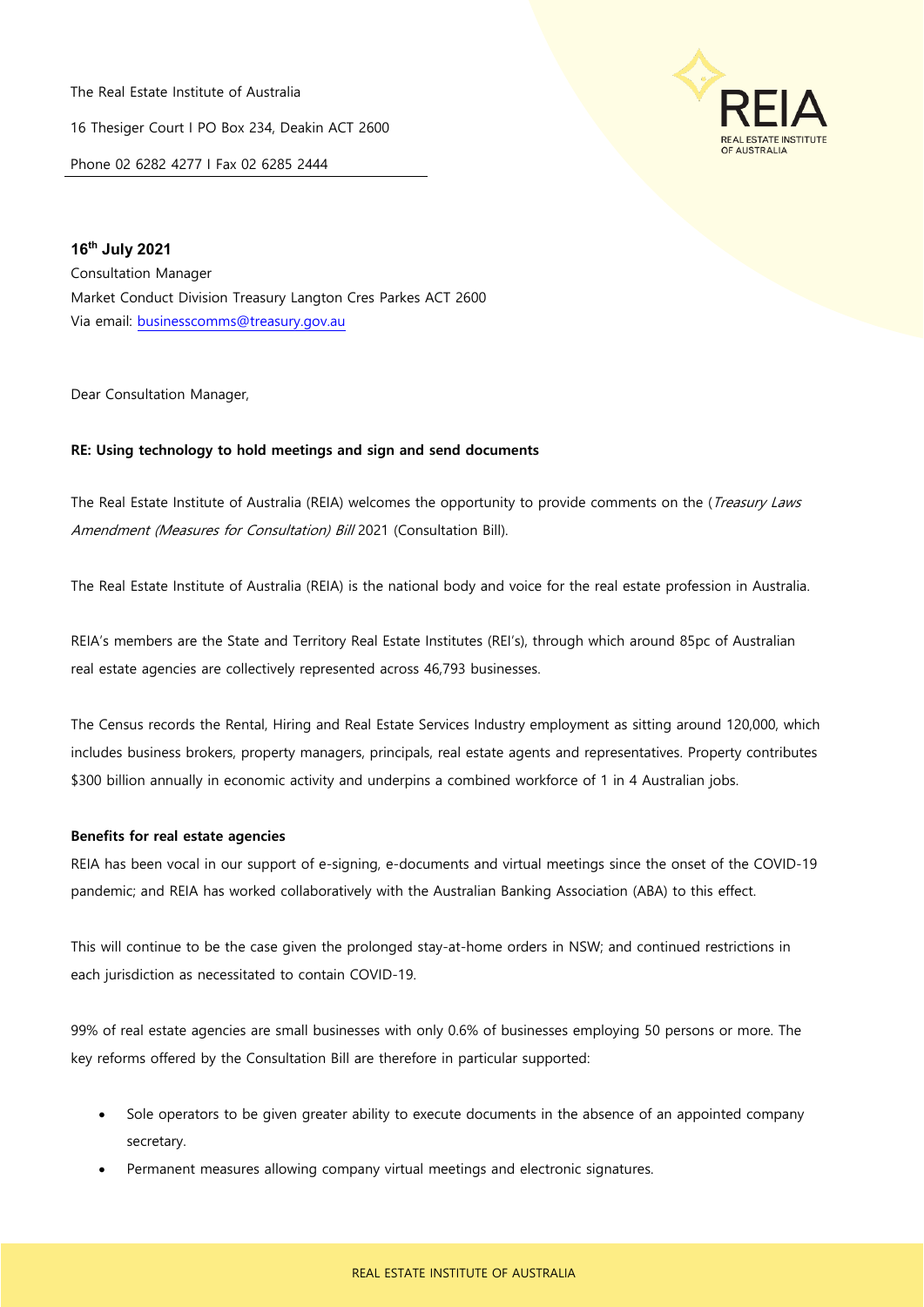The Real Estate Institute of Australia

16 Thesiger Court I PO Box 234, Deakin ACT 2600

Phone 02 6282 4277 I Fax 02 6285 2444



**16th July 2021** Consultation Manager Market Conduct Division Treasury Langton Cres Parkes ACT 2600 Via email: [businesscomms@treasury.gov.au](mailto:businesscomms@treasury.gov.au)

Dear Consultation Manager,

## **RE: Using technology to hold meetings and sign and send documents**

The Real Estate Institute of Australia (REIA) welcomes the opportunity to provide comments on the (*Treasury Laws* Amendment (Measures for Consultation) Bill 2021 (Consultation Bill).

The Real Estate Institute of Australia (REIA) is the national body and voice for the real estate profession in Australia.

REIA's members are the State and Territory Real Estate Institutes (REI's), through which around 85pc of Australian real estate agencies are collectively represented across 46,793 businesses.

The Census records the Rental, Hiring and Real Estate Services Industry employment as sitting around 120,000, which includes business brokers, property managers, principals, real estate agents and representatives. Property contributes \$300 billion annually in economic activity and underpins a combined workforce of 1 in 4 Australian jobs.

## **Benefits for real estate agencies**

REIA has been vocal in our support of e-signing, e-documents and virtual meetings since the onset of the COVID-19 pandemic; and REIA has worked collaboratively with the Australian Banking Association (ABA) to this effect.

This will continue to be the case given the prolonged stay-at-home orders in NSW; and continued restrictions in each jurisdiction as necessitated to contain COVID-19.

99% of real estate agencies are small businesses with only 0.6% of businesses employing 50 persons or more. The key reforms offered by the Consultation Bill are therefore in particular supported:

- Sole operators to be given greater ability to execute documents in the absence of an appointed company secretary.
- Permanent measures allowing company virtual meetings and electronic signatures.